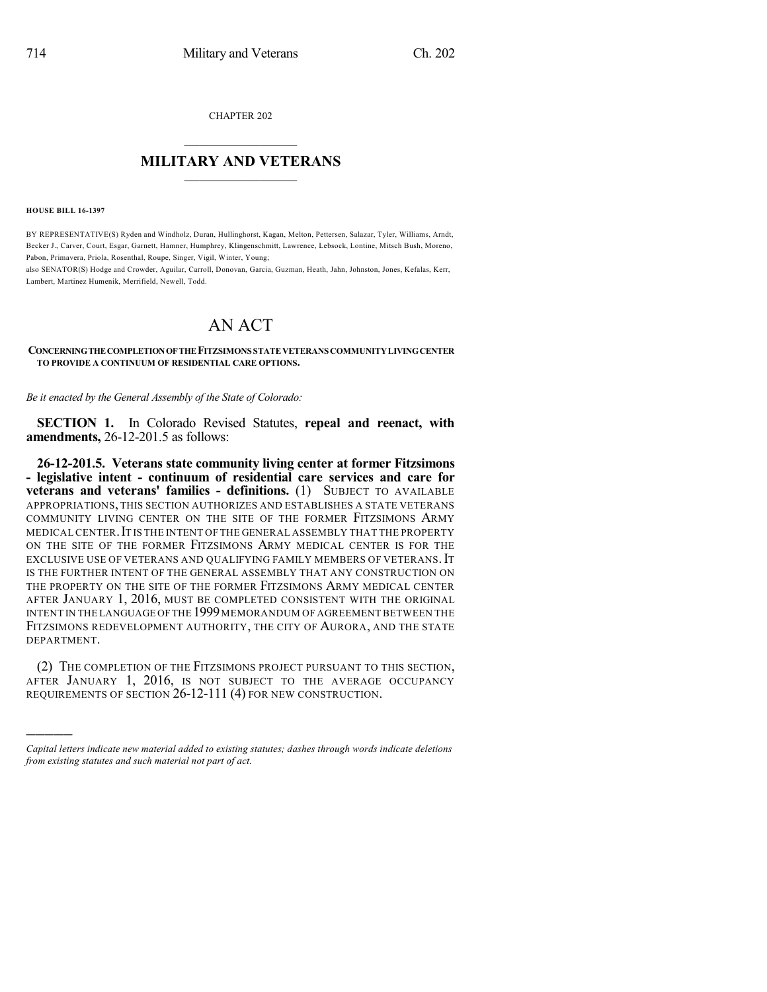CHAPTER 202

## $\mathcal{L}_\text{max}$  . The set of the set of the set of the set of the set of the set of the set of the set of the set of the set of the set of the set of the set of the set of the set of the set of the set of the set of the set **MILITARY AND VETERANS**  $\frac{1}{2}$  ,  $\frac{1}{2}$  ,  $\frac{1}{2}$  ,  $\frac{1}{2}$  ,  $\frac{1}{2}$  ,  $\frac{1}{2}$  ,  $\frac{1}{2}$

**HOUSE BILL 16-1397**

)))))

BY REPRESENTATIVE(S) Ryden and Windholz, Duran, Hullinghorst, Kagan, Melton, Pettersen, Salazar, Tyler, Williams, Arndt, Becker J., Carver, Court, Esgar, Garnett, Hamner, Humphrey, Klingenschmitt, Lawrence, Lebsock, Lontine, Mitsch Bush, Moreno, Pabon, Primavera, Priola, Rosenthal, Roupe, Singer, Vigil, Winter, Young;

also SENATOR(S) Hodge and Crowder, Aguilar, Carroll, Donovan, Garcia, Guzman, Heath, Jahn, Johnston, Jones, Kefalas, Kerr, Lambert, Martinez Humenik, Merrifield, Newell, Todd.

## AN ACT

**CONCERNINGTHECOMPLETIONOFTHEFITZSIMONS STATEVETERANS COMMUNITYLIVINGCENTER TO PROVIDE A CONTINUUM OF RESIDENTIAL CARE OPTIONS.**

*Be it enacted by the General Assembly of the State of Colorado:*

**SECTION 1.** In Colorado Revised Statutes, **repeal and reenact, with amendments,** 26-12-201.5 as follows:

**26-12-201.5. Veterans state community living center at former Fitzsimons - legislative intent - continuum of residential care services and care for veterans and veterans' families - definitions.** (1) SUBJECT TO AVAILABLE APPROPRIATIONS, THIS SECTION AUTHORIZES AND ESTABLISHES A STATE VETERANS COMMUNITY LIVING CENTER ON THE SITE OF THE FORMER FITZSIMONS ARMY MEDICAL CENTER.IT IS THE INTENT OF THE GENERAL ASSEMBLY THAT THE PROPERTY ON THE SITE OF THE FORMER FITZSIMONS ARMY MEDICAL CENTER IS FOR THE EXCLUSIVE USE OF VETERANS AND QUALIFYING FAMILY MEMBERS OF VETERANS. IT IS THE FURTHER INTENT OF THE GENERAL ASSEMBLY THAT ANY CONSTRUCTION ON THE PROPERTY ON THE SITE OF THE FORMER FITZSIMONS ARMY MEDICAL CENTER AFTER JANUARY 1, 2016, MUST BE COMPLETED CONSISTENT WITH THE ORIGINAL INTENT IN THE LANGUAGE OF THE 1999 MEMORANDUM OF AGREEMENT BETWEEN THE FITZSIMONS REDEVELOPMENT AUTHORITY, THE CITY OF AURORA, AND THE STATE DEPARTMENT.

(2) THE COMPLETION OF THE FITZSIMONS PROJECT PURSUANT TO THIS SECTION, AFTER JANUARY 1, 2016, IS NOT SUBJECT TO THE AVERAGE OCCUPANCY REQUIREMENTS OF SECTION 26-12-111 (4) FOR NEW CONSTRUCTION.

*Capital letters indicate new material added to existing statutes; dashes through words indicate deletions from existing statutes and such material not part of act.*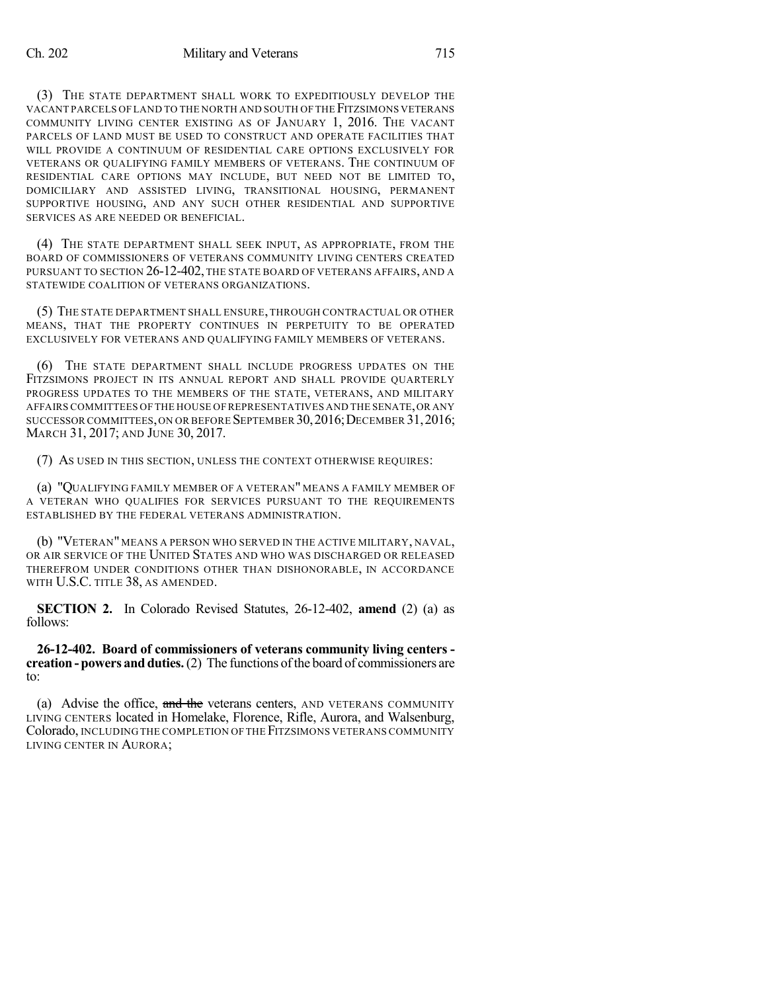(3) THE STATE DEPARTMENT SHALL WORK TO EXPEDITIOUSLY DEVELOP THE VACANT PARCELS OF LAND TO THE NORTH AND SOUTH OF THE FITZSIMONS VETERANS COMMUNITY LIVING CENTER EXISTING AS OF JANUARY 1, 2016. THE VACANT PARCELS OF LAND MUST BE USED TO CONSTRUCT AND OPERATE FACILITIES THAT WILL PROVIDE A CONTINUUM OF RESIDENTIAL CARE OPTIONS EXCLUSIVELY FOR VETERANS OR QUALIFYING FAMILY MEMBERS OF VETERANS. THE CONTINUUM OF RESIDENTIAL CARE OPTIONS MAY INCLUDE, BUT NEED NOT BE LIMITED TO, DOMICILIARY AND ASSISTED LIVING, TRANSITIONAL HOUSING, PERMANENT SUPPORTIVE HOUSING, AND ANY SUCH OTHER RESIDENTIAL AND SUPPORTIVE SERVICES AS ARE NEEDED OR BENEFICIAL.

(4) THE STATE DEPARTMENT SHALL SEEK INPUT, AS APPROPRIATE, FROM THE BOARD OF COMMISSIONERS OF VETERANS COMMUNITY LIVING CENTERS CREATED PURSUANT TO SECTION 26-12-402, THE STATE BOARD OF VETERANS AFFAIRS, AND A STATEWIDE COALITION OF VETERANS ORGANIZATIONS.

(5) THE STATE DEPARTMENT SHALL ENSURE, THROUGH CONTRACTUAL OR OTHER MEANS, THAT THE PROPERTY CONTINUES IN PERPETUITY TO BE OPERATED EXCLUSIVELY FOR VETERANS AND QUALIFYING FAMILY MEMBERS OF VETERANS.

(6) THE STATE DEPARTMENT SHALL INCLUDE PROGRESS UPDATES ON THE FITZSIMONS PROJECT IN ITS ANNUAL REPORT AND SHALL PROVIDE QUARTERLY PROGRESS UPDATES TO THE MEMBERS OF THE STATE, VETERANS, AND MILITARY AFFAIRS COMMITTEES OF THE HOUSE OF REPRESENTATIVES AND THE SENATE,OR ANY SUCCESSOR COMMITTEES, ON OR BEFORE SEPTEMBER 30, 2016; DECEMBER 31, 2016; MARCH 31, 2017; AND JUNE 30, 2017.

(7) AS USED IN THIS SECTION, UNLESS THE CONTEXT OTHERWISE REQUIRES:

(a) "QUALIFYING FAMILY MEMBER OF A VETERAN" MEANS A FAMILY MEMBER OF A VETERAN WHO QUALIFIES FOR SERVICES PURSUANT TO THE REQUIREMENTS ESTABLISHED BY THE FEDERAL VETERANS ADMINISTRATION.

(b) "VETERAN" MEANS A PERSON WHO SERVED IN THE ACTIVE MILITARY, NAVAL, OR AIR SERVICE OF THE UNITED STATES AND WHO WAS DISCHARGED OR RELEASED THEREFROM UNDER CONDITIONS OTHER THAN DISHONORABLE, IN ACCORDANCE WITH U.S.C. TITLE 38, AS AMENDED.

**SECTION 2.** In Colorado Revised Statutes, 26-12-402, **amend** (2) (a) as follows:

**26-12-402. Board of commissioners of veterans community living centers creation - powers and duties.** (2) The functions of the board of commissioners are to:

(a) Advise the office, and the veterans centers, AND VETERANS COMMUNITY LIVING CENTERS located in Homelake, Florence, Rifle, Aurora, and Walsenburg, Colorado, INCLUDING THE COMPLETION OFTHE FITZSIMONS VETERANS COMMUNITY LIVING CENTER IN AURORA;